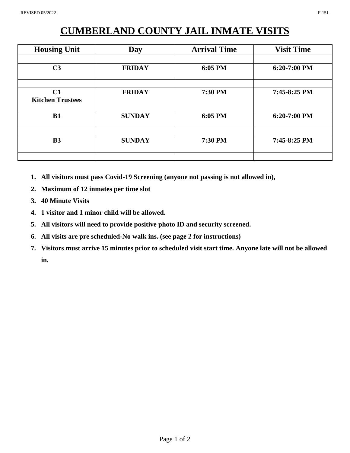## **CUMBERLAND COUNTY JAIL INMATE VISITS**

| <b>Housing Unit</b>     | Day           | <b>Arrival Time</b> | <b>Visit Time</b> |
|-------------------------|---------------|---------------------|-------------------|
|                         |               |                     |                   |
| C <sub>3</sub>          | <b>FRIDAY</b> | 6:05 PM             | $6:20-7:00$ PM    |
|                         |               |                     |                   |
| C1                      | <b>FRIDAY</b> | 7:30 PM             | 7:45-8:25 PM      |
| <b>Kitchen Trustees</b> |               |                     |                   |
| <b>B1</b>               | <b>SUNDAY</b> | 6:05 PM             | $6:20-7:00$ PM    |
|                         |               |                     |                   |
| <b>B3</b>               | <b>SUNDAY</b> | 7:30 PM             | $7:45-8:25$ PM    |
|                         |               |                     |                   |
|                         |               |                     |                   |

- **1. All visitors must pass Covid-19 Screening (anyone not passing is not allowed in),**
- **2. Maximum of 12 inmates per time slot**
- **3. 40 Minute Visits**
- **4. 1 visitor and 1 minor child will be allowed.**
- **5. All visitors will need to provide positive photo ID and security screened.**
- **6. All visits are pre scheduled-No walk ins. (see page 2 for instructions)**
- **7. Visitors must arrive 15 minutes prior to scheduled visit start time. Anyone late will not be allowed in.**